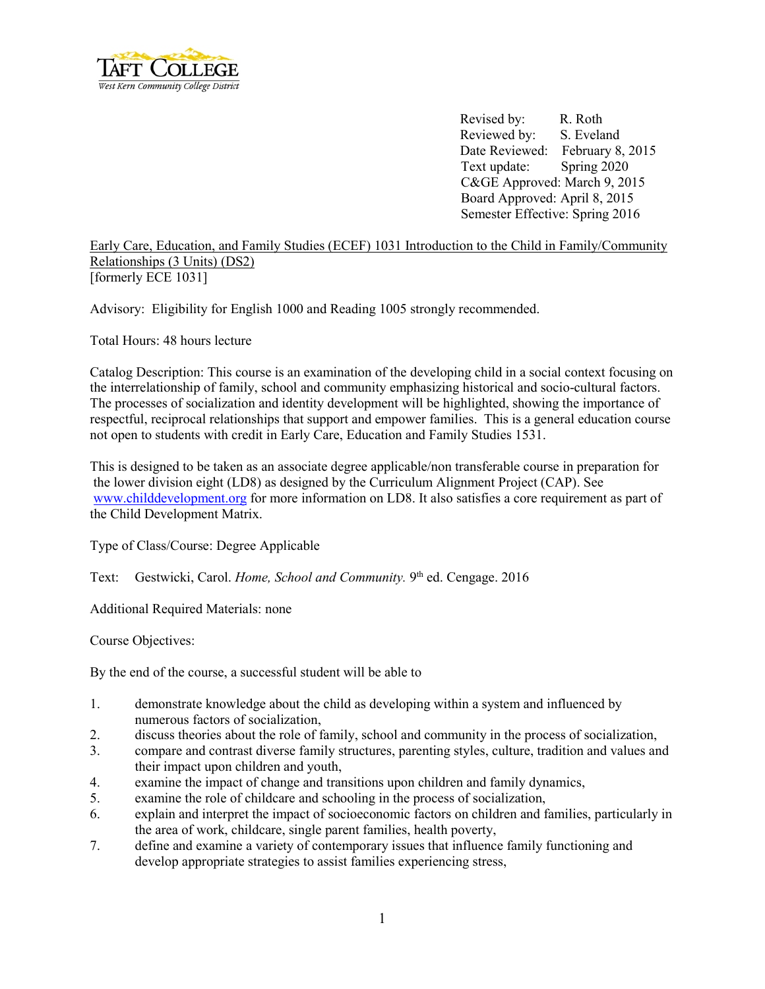

Revised by: R. Roth Reviewed by: S. Eveland Date Reviewed: February 8, 2015 Text update: Spring 2020 C&GE Approved: March 9, 2015 Board Approved: April 8, 2015 Semester Effective: Spring 2016

Early Care, Education, and Family Studies (ECEF) 1031 Introduction to the Child in Family/Community Relationships (3 Units) (DS2) [formerly ECE 1031]

Advisory: Eligibility for English 1000 and Reading 1005 strongly recommended.

Total Hours: 48 hours lecture

Catalog Description: This course is an examination of the developing child in a social context focusing on the interrelationship of family, school and community emphasizing historical and socio-cultural factors. The processes of socialization and identity development will be highlighted, showing the importance of respectful, reciprocal relationships that support and empower families. This is a general education course not open to students with credit in Early Care, Education and Family Studies 1531.

This is designed to be taken as an associate degree applicable/non transferable course in preparation for the lower division eight (LD8) as designed by the Curriculum Alignment Project (CAP). See [www.childdevelopment.org](http://www.childdevelopment.org/) for more information on LD8. It also satisfies a core requirement as part of the Child Development Matrix.

Type of Class/Course: Degree Applicable

Text: Gestwicki, Carol. *Home, School and Community*. 9<sup>th</sup> ed. Cengage. 2016

Additional Required Materials: none

Course Objectives:

By the end of the course, a successful student will be able to

- 1. demonstrate knowledge about the child as developing within a system and influenced by numerous factors of socialization,
- 2. discuss theories about the role of family, school and community in the process of socialization,
- 3. compare and contrast diverse family structures, parenting styles, culture, tradition and values and their impact upon children and youth,
- 4. examine the impact of change and transitions upon children and family dynamics,
- 5. examine the role of childcare and schooling in the process of socialization,
- 6. explain and interpret the impact of socioeconomic factors on children and families, particularly in the area of work, childcare, single parent families, health poverty,
- 7. define and examine a variety of contemporary issues that influence family functioning and develop appropriate strategies to assist families experiencing stress,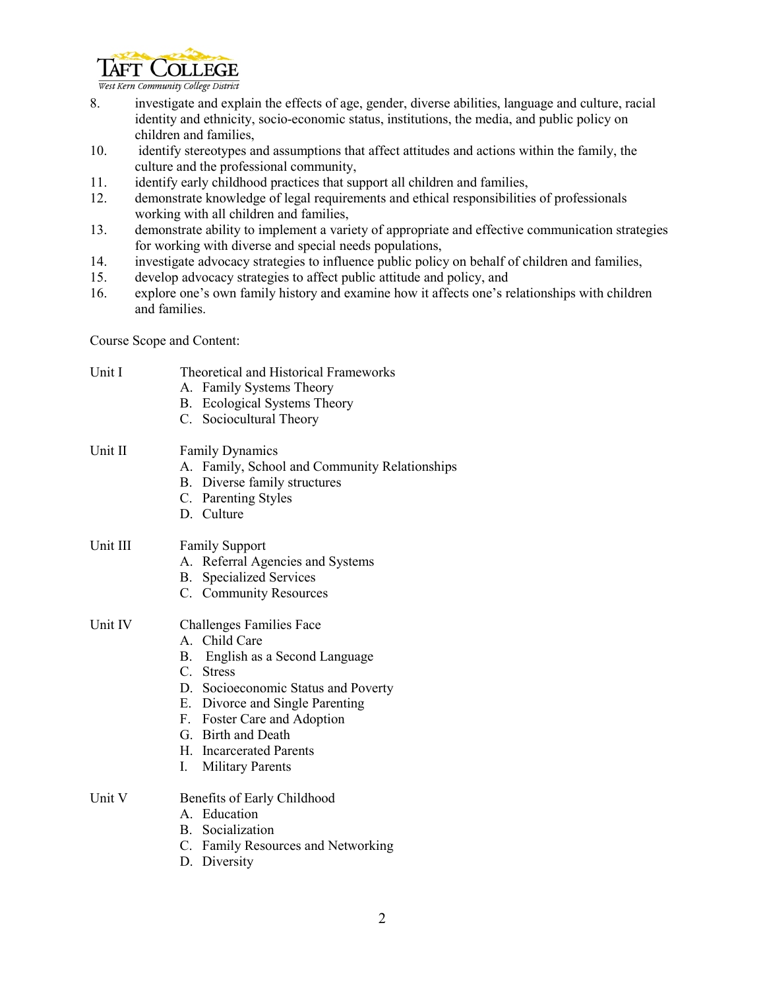

West Kern Community College District

- 8. investigate and explain the effects of age, gender, diverse abilities, language and culture, racial identity and ethnicity, socio-economic status, institutions, the media, and public policy on children and families,
- 10. identify stereotypes and assumptions that affect attitudes and actions within the family, the culture and the professional community,
- 11. identify early childhood practices that support all children and families,
- 12. demonstrate knowledge of legal requirements and ethical responsibilities of professionals working with all children and families,
- 13. demonstrate ability to implement a variety of appropriate and effective communication strategies for working with diverse and special needs populations,
- 14. investigate advocacy strategies to influence public policy on behalf of children and families,
- 15. develop advocacy strategies to affect public attitude and policy, and
- 16. explore one's own family history and examine how it affects one's relationships with children and families.

Course Scope and Content:

| Unit I   | <b>Theoretical and Historical Frameworks</b>  |  |
|----------|-----------------------------------------------|--|
|          | A. Family Systems Theory                      |  |
|          | B. Ecological Systems Theory                  |  |
|          | C. Sociocultural Theory                       |  |
| Unit II  | <b>Family Dynamics</b>                        |  |
|          | A. Family, School and Community Relationships |  |
|          | B. Diverse family structures                  |  |
|          | C. Parenting Styles                           |  |
|          | D. Culture                                    |  |
| Unit III | <b>Family Support</b>                         |  |
|          | A. Referral Agencies and Systems              |  |
|          | <b>B.</b> Specialized Services                |  |
|          | C. Community Resources                        |  |
| Unit IV  | <b>Challenges Families Face</b>               |  |
|          | A. Child Care                                 |  |
|          | B. English as a Second Language               |  |
|          | C. Stress                                     |  |
|          | D. Socioeconomic Status and Poverty           |  |
|          | E. Divorce and Single Parenting               |  |
|          | F. Foster Care and Adoption                   |  |
|          | G. Birth and Death                            |  |
|          | H. Incarcerated Parents                       |  |
|          | $\mathbf{I}$ .<br><b>Military Parents</b>     |  |
| Unit V   | Benefits of Early Childhood                   |  |
|          | A. Education                                  |  |
|          | B. Socialization                              |  |
|          | C. Family Resources and Networking            |  |
|          | D. Diversity                                  |  |
|          |                                               |  |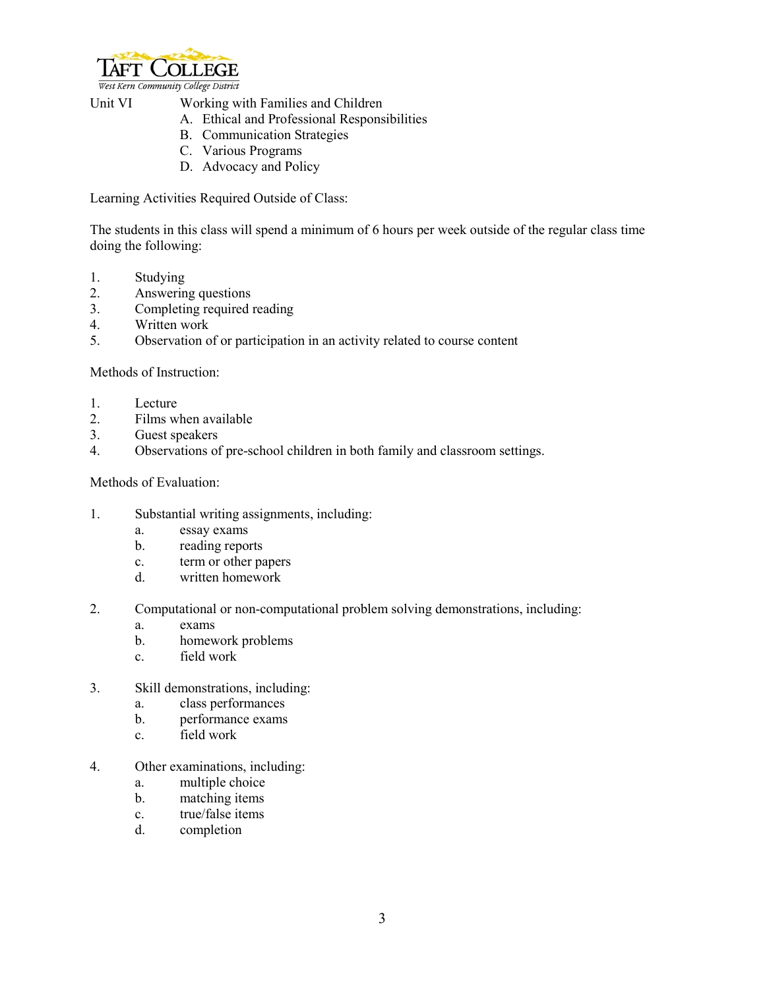

West Kern Community College District

- Unit VI Working with Families and Children
	- A. Ethical and Professional Responsibilities
	- B. Communication Strategies
	- C. Various Programs
	- D. Advocacy and Policy

Learning Activities Required Outside of Class:

The students in this class will spend a minimum of 6 hours per week outside of the regular class time doing the following:

- 1. Studying
- 2. Answering questions<br>3. Completing required in
- Completing required reading
- 4. Written work
- 5. Observation of or participation in an activity related to course content

Methods of Instruction:

- 1. Lecture
- 2. Films when available<br>3. Guest speakers
- Guest speakers
- 4. Observations of pre-school children in both family and classroom settings.

Methods of Evaluation:

- 1. Substantial writing assignments, including:
	- a. essay exams
	- b. reading reports
	- c. term or other papers
	- d. written homework
- 2. Computational or non-computational problem solving demonstrations, including:
	- a. exams
	- b. homework problems
	- c. field work
- 3. Skill demonstrations, including:
	- a. class performances
	- b. performance exams
	- c. field work
- 4. Other examinations, including:
	- a. multiple choice
	- b. matching items
	- c. true/false items
	- d. completion